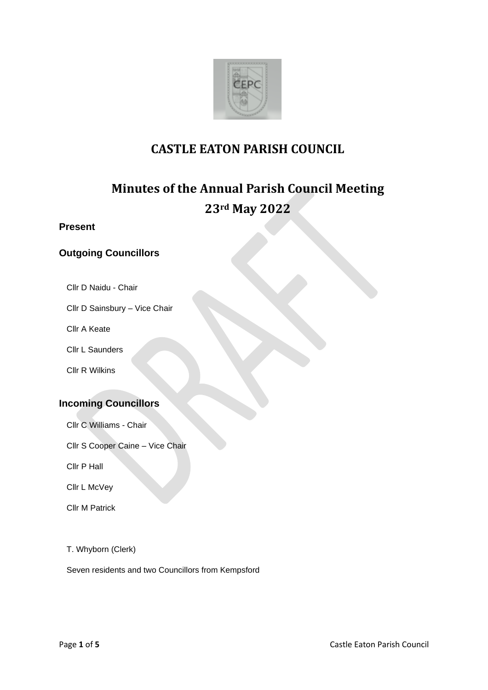

# **CASTLE EATON PARISH COUNCIL**

# **Minutes of the Annual Parish Council Meeting 23rd May 2022**

# **Present**

# **Outgoing Councillors**

- Cllr D Naidu Chair
- Cllr D Sainsbury Vice Chair
- Cllr A Keate
- Cllr L Saunders
- Cllr R Wilkins

# **Incoming Councillors**

- Cllr C Williams Chair
- Cllr S Cooper Caine Vice Chair
- Cllr P Hall
- Cllr L McVey
- Cllr M Patrick
- T. Whyborn (Clerk)

Seven residents and two Councillors from Kempsford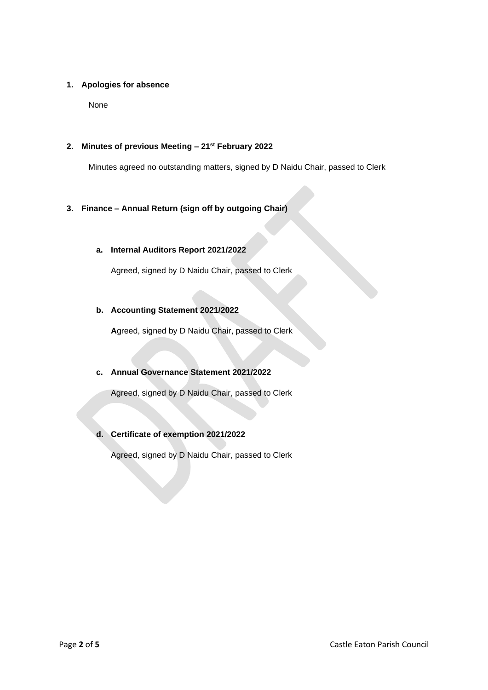# **1. Apologies for absence**

None

# **2. Minutes of previous Meeting – 21st February 2022**

Minutes agreed no outstanding matters, signed by D Naidu Chair, passed to Clerk

# **3. Finance – Annual Return (sign off by outgoing Chair)**

# **a. Internal Auditors Report 2021/2022**

Agreed, signed by D Naidu Chair, passed to Clerk

# **b. Accounting Statement 2021/2022**

**A**greed, signed by D Naidu Chair, passed to Clerk

# **c. Annual Governance Statement 2021/2022**

Agreed, signed by D Naidu Chair, passed to Clerk

# **d. Certificate of exemption 2021/2022**

Agreed, signed by D Naidu Chair, passed to Clerk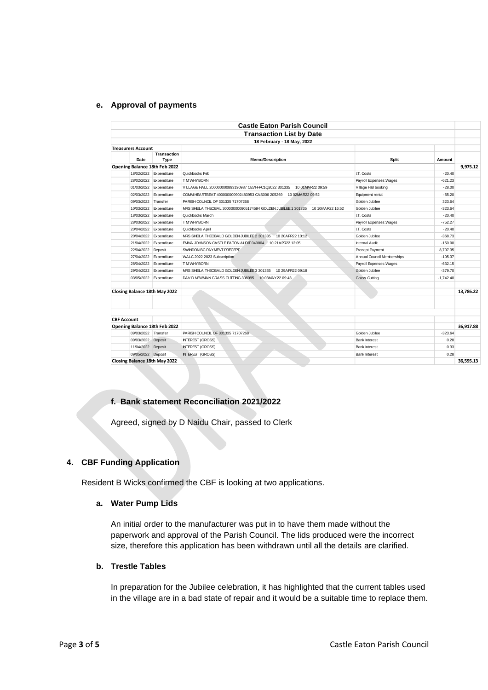#### **e. Approval of payments**

| <b>Castle Eaton Parish Council</b>                                                                                               |           |
|----------------------------------------------------------------------------------------------------------------------------------|-----------|
| <b>Transaction List by Date</b>                                                                                                  |           |
| 18 February - 18 May, 2022                                                                                                       |           |
| <b>Treasurers Account</b>                                                                                                        |           |
| <b>Transaction</b>                                                                                                               |           |
| Date<br><b>Type</b><br><b>Memo/Description</b><br><b>Split</b><br>Amount                                                         |           |
| Opening Balance 18th Feb 2022                                                                                                    | 9.975.12  |
| Expenditure<br>Quickbooks Feb<br>18/02/2022<br><b>LT. Costs</b>                                                                  | $-20.40$  |
| 28/02/2022<br>Expenditure<br>T M WHY BORN<br>Payroll Expenses: Wages                                                             | $-621.23$ |
| Village Hall booking<br>01/03/2022<br>Expenditure<br>VILLAGE HALL 200000000893190987 CEVH-PC1Q2022 301335<br>10 01MAR22 09:59    | $-28.00$  |
| 02/03/2022<br>Expenditure<br>COMM HEARTBEAT 400000000902483953 CAS006 205269<br>10 02MAR22 09:52<br>Equipment rental             | $-55.20$  |
| 09/03/2022<br>Transfer<br>Golden Jubilee<br>PARISH COUNCIL OF 301335 71707268                                                    | 323.64    |
| 10/03/2022<br>MRS SHEILA THEOBAL 300000000905174594 GOLDEN JUBILEE 1 301335<br>Expenditure<br>10 10MAR22 16:52<br>Golden Jubilee | $-323.64$ |
| 18/03/2022<br>Expenditure<br><b>LT. Costs</b><br>Quickbooks March                                                                | $-20.40$  |
| 28/03/2022<br>Expenditure<br>T M WHY BORN<br>Payroll Expenses: Wages                                                             | $-752.27$ |
| <b>LT. Costs</b><br>20/04/2022<br>Expenditure<br>Quickbooks April                                                                | $-20.40$  |
| MRS SHEILA THEOBALD GOLDEN JUBILEE 2 301335<br>10 20 A PR22 10:12<br>Golden Jubilee<br>20/04/2022<br>Expenditure                 | $-368.73$ |
| 21/04/2022<br>Expenditure<br>EMMA JOHNSON CASTLE EATON AUDIT 040004 10 21 APR22 12:05<br>Internal Audit                          | $-150.00$ |
| 22/04/2022<br>SWINDON BC PAYMENT PRECEPT<br>Precept Payment<br>8.707.35<br>Deposit                                               |           |
| Annual Council Memberships<br>27/04/2022<br>Expenditure<br>WALC 2022 2023 Subscription                                           | $-105.37$ |
| Payroll Expenses: Wages<br>28/04/2022<br>Expenditure<br>T M WHY BORN                                                             | $-632.15$ |
| Golden Jubilee<br>29/04/2022<br>Expenditure<br>MRS SHEILA THEOBALD GOLDEN JUBILEE 3 301335<br>10 29APR22 09:18                   | $-379.70$ |
| 03/05/2022<br>Expenditure<br>DAVID NEWMAN GRASS CUTTING 308095 10 03MAY 22 09:43<br><b>Grass Cutting</b><br>$-1.742.40$          |           |
|                                                                                                                                  |           |
| Closing Balance 18th May 2022                                                                                                    | 13,786.22 |
|                                                                                                                                  |           |
|                                                                                                                                  |           |
|                                                                                                                                  |           |
| <b>CBF Account</b>                                                                                                               |           |
| Opening Balance 18th Feb 2022                                                                                                    | 36,917.88 |
| Transfer<br>09/03/2022<br>PARISH COUNCIL OF 301335 71707268<br>Golden Jubilee                                                    | $-323.64$ |
| 09/03/2022<br><b>INTEREST (GROSS)</b><br>Deposit<br><b>Bank Interest</b>                                                         | 0.28      |
| 11/04/2022<br><b>INTEREST (GROSS)</b><br>Deposit<br><b>Bank Interest</b>                                                         | 0.33      |
| 09/05/2022 Deposit<br><b>INTEREST (GROSS)</b><br><b>Bank Interest</b>                                                            | 0.28      |
| Closing Balance 18th May 2022                                                                                                    | 36.595.13 |

## **f. Bank statement Reconciliation 2021/2022**

Agreed, signed by D Naidu Chair, passed to Clerk

# **4. CBF Funding Application**

Resident B Wicks confirmed the CBF is looking at two applications.

#### **a. Water Pump Lids**

An initial order to the manufacturer was put in to have them made without the paperwork and approval of the Parish Council. The lids produced were the incorrect size, therefore this application has been withdrawn until all the details are clarified.

#### **b. Trestle Tables**

In preparation for the Jubilee celebration, it has highlighted that the current tables used in the village are in a bad state of repair and it would be a suitable time to replace them.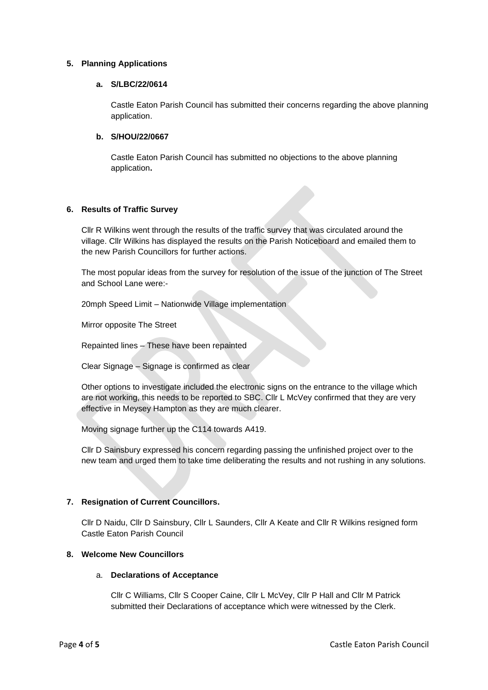#### **5. Planning Applications**

#### **a. S/LBC/22/0614**

Castle Eaton Parish Council has submitted their concerns regarding the above planning application.

#### **b. S/HOU/22/0667**

Castle Eaton Parish Council has submitted no objections to the above planning application**.**

# **6. Results of Traffic Survey**

Cllr R Wilkins went through the results of the traffic survey that was circulated around the village. Cllr Wilkins has displayed the results on the Parish Noticeboard and emailed them to the new Parish Councillors for further actions.

The most popular ideas from the survey for resolution of the issue of the junction of The Street and School Lane were:-

20mph Speed Limit – Nationwide Village implementation

Mirror opposite The Street

Repainted lines – These have been repainted

Clear Signage – Signage is confirmed as clear

Other options to investigate included the electronic signs on the entrance to the village which are not working, this needs to be reported to SBC. Cllr L McVey confirmed that they are very effective in Meysey Hampton as they are much clearer.

Moving signage further up the C114 towards A419.

Cllr D Sainsbury expressed his concern regarding passing the unfinished project over to the new team and urged them to take time deliberating the results and not rushing in any solutions.

# **7. Resignation of Current Councillors.**

Cllr D Naidu, Cllr D Sainsbury, Cllr L Saunders, Cllr A Keate and Cllr R Wilkins resigned form Castle Eaton Parish Council

# **8. Welcome New Councillors**

#### a. **Declarations of Acceptance**

Cllr C Williams, Cllr S Cooper Caine, Cllr L McVey, Cllr P Hall and Cllr M Patrick submitted their Declarations of acceptance which were witnessed by the Clerk.